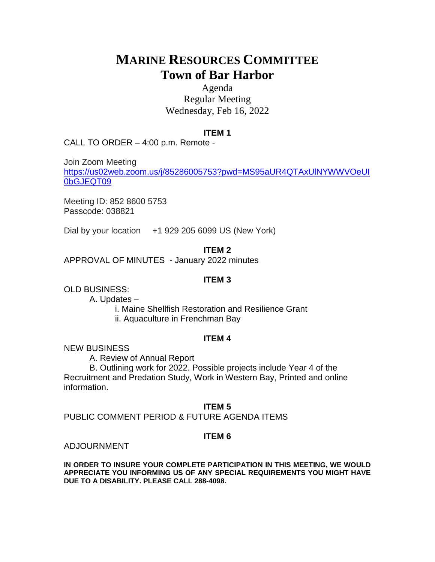# **MARINE RESOURCES COMMITTEE Town of Bar Harbor**

# Agenda Regular Meeting Wednesday, Feb 16, 2022

#### **ITEM 1**

CALL TO ORDER – 4:00 p.m. Remote -

Join Zoom Meeting [https://us02web.zoom.us/j/85286005753?pwd=MS95aUR4QTAxUlNYWWVOeUI](https://us02web.zoom.us/j/85286005753?pwd=MS95aUR4QTAxUlNYWWVOeUI0bGJEQT09) [0bGJEQT09](https://us02web.zoom.us/j/85286005753?pwd=MS95aUR4QTAxUlNYWWVOeUI0bGJEQT09)

Meeting ID: 852 8600 5753 Passcode: 038821

Dial by your location +1 929 205 6099 US (New York)

#### **ITEM 2**

APPROVAL OF MINUTES - January 2022 minutes

#### **ITEM 3**

OLD BUSINESS:

A. Updates –

i. Maine Shellfish Restoration and Resilience Grant ii. Aquaculture in Frenchman Bay

#### **ITEM 4**

NEW BUSINESS

A. Review of Annual Report

B. Outlining work for 2022. Possible projects include Year 4 of the Recruitment and Predation Study, Work in Western Bay, Printed and online information.

#### **ITEM 5**

PUBLIC COMMENT PERIOD & FUTURE AGENDA ITEMS

## **ITEM 6**

ADJOURNMENT

**IN ORDER TO INSURE YOUR COMPLETE PARTICIPATION IN THIS MEETING, WE WOULD APPRECIATE YOU INFORMING US OF ANY SPECIAL REQUIREMENTS YOU MIGHT HAVE DUE TO A DISABILITY. PLEASE CALL 288-4098.**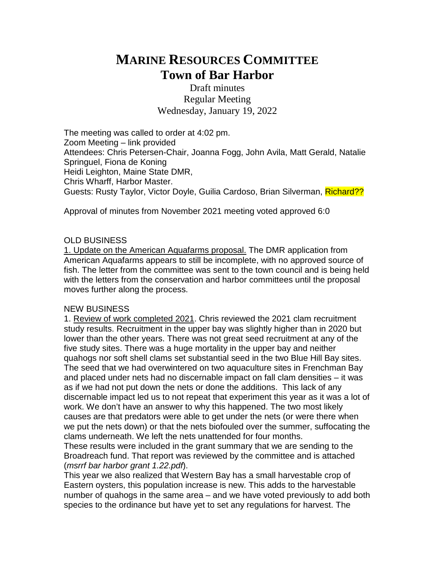# **MARINE RESOURCES COMMITTEE Town of Bar Harbor**

Draft minutes Regular Meeting Wednesday, January 19, 2022

The meeting was called to order at 4:02 pm. Zoom Meeting – link provided Attendees: Chris Petersen-Chair, Joanna Fogg, John Avila, Matt Gerald, Natalie Springuel, Fiona de Koning Heidi Leighton, Maine State DMR, Chris Wharff, Harbor Master. Guests: Rusty Taylor, Victor Doyle, Guilia Cardoso, Brian Silverman, Richard??

Approval of minutes from November 2021 meeting voted approved 6:0

# OLD BUSINESS

1. Update on the American Aquafarms proposal. The DMR application from American Aquafarms appears to still be incomplete, with no approved source of fish. The letter from the committee was sent to the town council and is being held with the letters from the conservation and harbor committees until the proposal moves further along the process.

## NEW BUSINESS

1. Review of work completed 2021. Chris reviewed the 2021 clam recruitment study results. Recruitment in the upper bay was slightly higher than in 2020 but lower than the other years. There was not great seed recruitment at any of the five study sites. There was a huge mortality in the upper bay and neither quahogs nor soft shell clams set substantial seed in the two Blue Hill Bay sites. The seed that we had overwintered on two aquaculture sites in Frenchman Bay and placed under nets had no discernable impact on fall clam densities – it was as if we had not put down the nets or done the additions. This lack of any discernable impact led us to not repeat that experiment this year as it was a lot of work. We don't have an answer to why this happened. The two most likely causes are that predators were able to get under the nets (or were there when we put the nets down) or that the nets biofouled over the summer, suffocating the clams underneath. We left the nets unattended for four months.

These results were included in the grant summary that we are sending to the Broadreach fund. That report was reviewed by the committee and is attached (*msrrf bar harbor grant 1.22.pdf*).

This year we also realized that Western Bay has a small harvestable crop of Eastern oysters, this population increase is new. This adds to the harvestable number of quahogs in the same area – and we have voted previously to add both species to the ordinance but have yet to set any regulations for harvest. The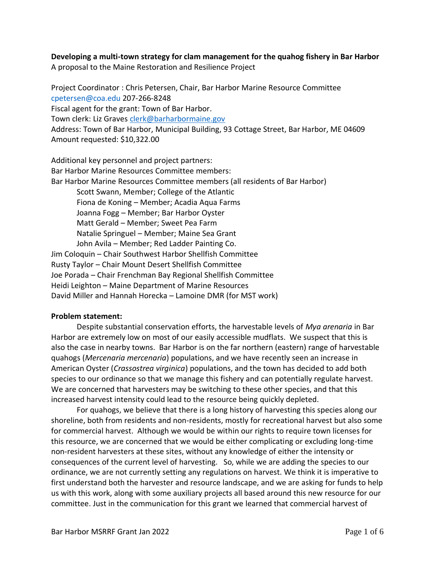# **Developing a multi-town strategy for clam management for the quahog fishery in Bar Harbor**

A proposal to the Maine Restoration and Resilience Project

Project Coordinator : Chris Petersen, Chair, Bar Harbor Marine Resource Committee cpetersen@coa.edu 207-266-8248 Fiscal agent for the grant: Town of Bar Harbor. Town clerk: Liz Graves [clerk@barharbormaine.gov](mailto:clerk@barharbormaine.gov) Address: Town of Bar Harbor, Municipal Building, 93 Cottage Street, Bar Harbor, ME 04609 Amount requested: \$10,322.00

Additional key personnel and project partners: Bar Harbor Marine Resources Committee members: Bar Harbor Marine Resources Committee members (all residents of Bar Harbor) Scott Swann, Member; College of the Atlantic Fiona de Koning – Member; Acadia Aqua Farms Joanna Fogg – Member; Bar Harbor Oyster Matt Gerald – Member; Sweet Pea Farm Natalie Springuel – Member; Maine Sea Grant John Avila – Member; Red Ladder Painting Co. Jim Coloquin – Chair Southwest Harbor Shellfish Committee Rusty Taylor – Chair Mount Desert Shellfish Committee Joe Porada – Chair Frenchman Bay Regional Shellfish Committee Heidi Leighton – Maine Department of Marine Resources David Miller and Hannah Horecka – Lamoine DMR (for MST work)

#### **Problem statement:**

Despite substantial conservation efforts, the harvestable levels of *Mya arenaria* in Bar Harbor are extremely low on most of our easily accessible mudflats. We suspect that this is also the case in nearby towns. Bar Harbor is on the far northern (eastern) range of harvestable quahogs (*Mercenaria mercenaria*) populations, and we have recently seen an increase in American Oyster (*Crassostrea virginica*) populations, and the town has decided to add both species to our ordinance so that we manage this fishery and can potentially regulate harvest. We are concerned that harvesters may be switching to these other species, and that this increased harvest intensity could lead to the resource being quickly depleted.

For quahogs, we believe that there is a long history of harvesting this species along our shoreline, both from residents and non-residents, mostly for recreational harvest but also some for commercial harvest. Although we would be within our rights to require town licenses for this resource, we are concerned that we would be either complicating or excluding long-time non-resident harvesters at these sites, without any knowledge of either the intensity or consequences of the current level of harvesting. So, while we are adding the species to our ordinance, we are not currently setting any regulations on harvest. We think it is imperative to first understand both the harvester and resource landscape, and we are asking for funds to help us with this work, along with some auxiliary projects all based around this new resource for our committee. Just in the communication for this grant we learned that commercial harvest of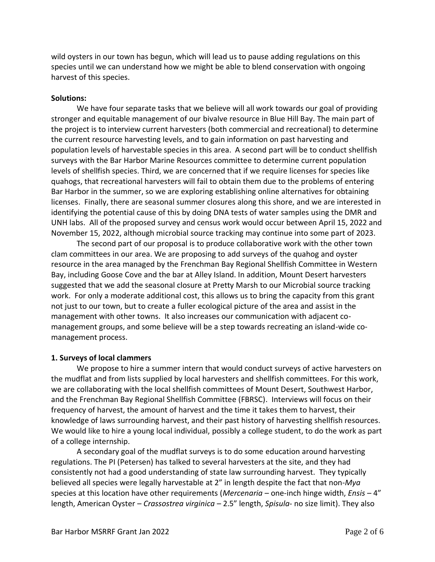wild oysters in our town has begun, which will lead us to pause adding regulations on this species until we can understand how we might be able to blend conservation with ongoing harvest of this species.

#### **Solutions:**

We have four separate tasks that we believe will all work towards our goal of providing stronger and equitable management of our bivalve resource in Blue Hill Bay. The main part of the project is to interview current harvesters (both commercial and recreational) to determine the current resource harvesting levels, and to gain information on past harvesting and population levels of harvestable species in this area. A second part will be to conduct shellfish surveys with the Bar Harbor Marine Resources committee to determine current population levels of shellfish species. Third, we are concerned that if we require licenses for species like quahogs, that recreational harvesters will fail to obtain them due to the problems of entering Bar Harbor in the summer, so we are exploring establishing online alternatives for obtaining licenses. Finally, there are seasonal summer closures along this shore, and we are interested in identifying the potential cause of this by doing DNA tests of water samples using the DMR and UNH labs. All of the proposed survey and census work would occur between April 15, 2022 and November 15, 2022, although microbial source tracking may continue into some part of 2023.

The second part of our proposal is to produce collaborative work with the other town clam committees in our area. We are proposing to add surveys of the quahog and oyster resource in the area managed by the Frenchman Bay Regional Shellfish Committee in Western Bay, including Goose Cove and the bar at Alley Island. In addition, Mount Desert harvesters suggested that we add the seasonal closure at Pretty Marsh to our Microbial source tracking work. For only a moderate additional cost, this allows us to bring the capacity from this grant not just to our town, but to create a fuller ecological picture of the area and assist in the management with other towns. It also increases our communication with adjacent comanagement groups, and some believe will be a step towards recreating an island-wide comanagement process.

#### **1. Surveys of local clammers**

We propose to hire a summer intern that would conduct surveys of active harvesters on the mudflat and from lists supplied by local harvesters and shellfish committees. For this work, we are collaborating with the local shellfish committees of Mount Desert, Southwest Harbor, and the Frenchman Bay Regional Shellfish Committee (FBRSC). Interviews will focus on their frequency of harvest, the amount of harvest and the time it takes them to harvest, their knowledge of laws surrounding harvest, and their past history of harvesting shellfish resources. We would like to hire a young local individual, possibly a college student, to do the work as part of a college internship.

A secondary goal of the mudflat surveys is to do some education around harvesting regulations. The PI (Petersen) has talked to several harvesters at the site, and they had consistently not had a good understanding of state law surrounding harvest. They typically believed all species were legally harvestable at 2" in length despite the fact that non-*Mya* species at this location have other requirements (*Mercenaria* – one-inch hinge width, *Ensis* – 4" length, American Oyster – *Crassostrea virginica* – 2.5" length, *Spisula*- no size limit). They also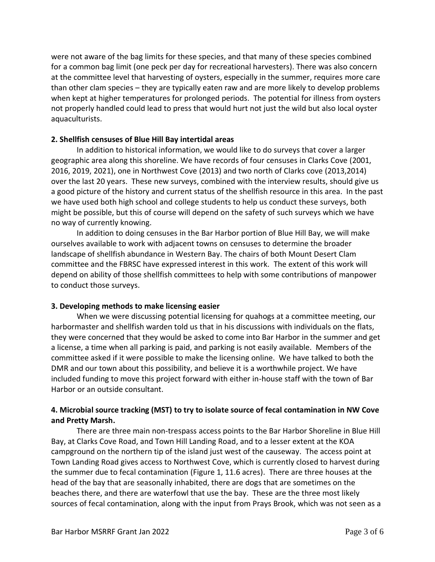were not aware of the bag limits for these species, and that many of these species combined for a common bag limit (one peck per day for recreational harvesters). There was also concern at the committee level that harvesting of oysters, especially in the summer, requires more care than other clam species – they are typically eaten raw and are more likely to develop problems when kept at higher temperatures for prolonged periods. The potential for illness from oysters not properly handled could lead to press that would hurt not just the wild but also local oyster aquaculturists.

#### **2. Shellfish censuses of Blue Hill Bay intertidal areas**

In addition to historical information, we would like to do surveys that cover a larger geographic area along this shoreline. We have records of four censuses in Clarks Cove (2001, 2016, 2019, 2021), one in Northwest Cove (2013) and two north of Clarks cove (2013,2014) over the last 20 years. These new surveys, combined with the interview results, should give us a good picture of the history and current status of the shellfish resource in this area. In the past we have used both high school and college students to help us conduct these surveys, both might be possible, but this of course will depend on the safety of such surveys which we have no way of currently knowing.

In addition to doing censuses in the Bar Harbor portion of Blue Hill Bay, we will make ourselves available to work with adjacent towns on censuses to determine the broader landscape of shellfish abundance in Western Bay. The chairs of both Mount Desert Clam committee and the FBRSC have expressed interest in this work. The extent of this work will depend on ability of those shellfish committees to help with some contributions of manpower to conduct those surveys.

## **3. Developing methods to make licensing easier**

When we were discussing potential licensing for quahogs at a committee meeting, our harbormaster and shellfish warden told us that in his discussions with individuals on the flats, they were concerned that they would be asked to come into Bar Harbor in the summer and get a license, a time when all parking is paid, and parking is not easily available. Members of the committee asked if it were possible to make the licensing online. We have talked to both the DMR and our town about this possibility, and believe it is a worthwhile project. We have included funding to move this project forward with either in-house staff with the town of Bar Harbor or an outside consultant.

# **4. Microbial source tracking (MST) to try to isolate source of fecal contamination in NW Cove and Pretty Marsh.**

There are three main non-trespass access points to the Bar Harbor Shoreline in Blue Hill Bay, at Clarks Cove Road, and Town Hill Landing Road, and to a lesser extent at the KOA campground on the northern tip of the island just west of the causeway. The access point at Town Landing Road gives access to Northwest Cove, which is currently closed to harvest during the summer due to fecal contamination (Figure 1, 11.6 acres). There are three houses at the head of the bay that are seasonally inhabited, there are dogs that are sometimes on the beaches there, and there are waterfowl that use the bay. These are the three most likely sources of fecal contamination, along with the input from Prays Brook, which was not seen as a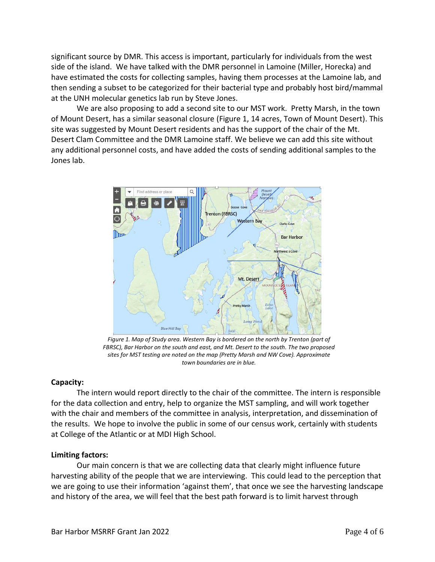significant source by DMR. This access is important, particularly for individuals from the west side of the island. We have talked with the DMR personnel in Lamoine (Miller, Horecka) and have estimated the costs for collecting samples, having them processes at the Lamoine lab, and then sending a subset to be categorized for their bacterial type and probably host bird/mammal at the UNH molecular genetics lab run by Steve Jones.

We are also proposing to add a second site to our MST work. Pretty Marsh, in the town of Mount Desert, has a similar seasonal closure (Figure 1, 14 acres, Town of Mount Desert). This site was suggested by Mount Desert residents and has the support of the chair of the Mt. Desert Clam Committee and the DMR Lamoine staff. We believe we can add this site without any additional personnel costs, and have added the costs of sending additional samples to the Jones lab.



*Figure 1. Map of Study area. Western Bay is bordered on the north by Trenton (part of FBRSC), Bar Harbor on the south and east, and Mt. Desert to the south. The two proposed sites for MST testing are noted on the map (Pretty Marsh and NW Cove). Approximate town boundaries are in blue.* 

#### **Capacity:**

The intern would report directly to the chair of the committee. The intern is responsible for the data collection and entry, help to organize the MST sampling, and will work together with the chair and members of the committee in analysis, interpretation, and dissemination of the results. We hope to involve the public in some of our census work, certainly with students at College of the Atlantic or at MDI High School.

#### **Limiting factors:**

Our main concern is that we are collecting data that clearly might influence future harvesting ability of the people that we are interviewing. This could lead to the perception that we are going to use their information 'against them', that once we see the harvesting landscape and history of the area, we will feel that the best path forward is to limit harvest through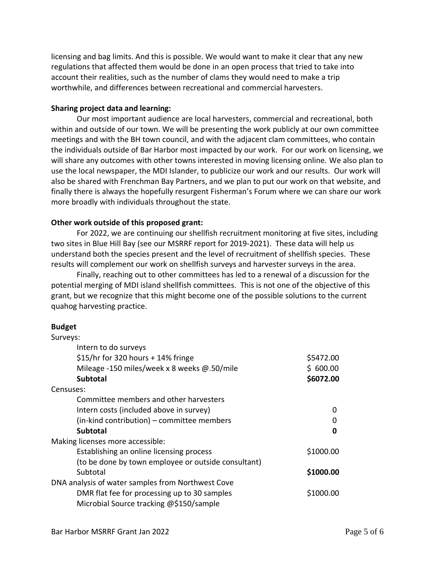licensing and bag limits. And this is possible. We would want to make it clear that any new regulations that affected them would be done in an open process that tried to take into account their realities, such as the number of clams they would need to make a trip worthwhile, and differences between recreational and commercial harvesters.

#### **Sharing project data and learning:**

Our most important audience are local harvesters, commercial and recreational, both within and outside of our town. We will be presenting the work publicly at our own committee meetings and with the BH town council, and with the adjacent clam committees, who contain the individuals outside of Bar Harbor most impacted by our work. For our work on licensing, we will share any outcomes with other towns interested in moving licensing online. We also plan to use the local newspaper, the MDI Islander, to publicize our work and our results. Our work will also be shared with Frenchman Bay Partners, and we plan to put our work on that website, and finally there is always the hopefully resurgent Fisherman's Forum where we can share our work more broadly with individuals throughout the state.

#### **Other work outside of this proposed grant:**

For 2022, we are continuing our shellfish recruitment monitoring at five sites, including two sites in Blue Hill Bay (see our MSRRF report for 2019-2021). These data will help us understand both the species present and the level of recruitment of shellfish species. These results will complement our work on shellfish surveys and harvester surveys in the area.

Finally, reaching out to other committees has led to a renewal of a discussion for the potential merging of MDI island shellfish committees. This is not one of the objective of this grant, but we recognize that this might become one of the possible solutions to the current quahog harvesting practice.

#### **Budget**

| Surveys:                                            |           |
|-----------------------------------------------------|-----------|
| Intern to do surveys                                |           |
| \$15/hr for 320 hours $+$ 14% fringe                | \$5472.00 |
| Mileage -150 miles/week x 8 weeks $@.50$ /mile      | \$600.00  |
| <b>Subtotal</b>                                     | \$6072.00 |
| Censuses:                                           |           |
| Committee members and other harvesters              |           |
| Intern costs (included above in survey)             | n         |
| (in-kind contribution) - committee members          | O         |
| <b>Subtotal</b>                                     | ŋ         |
| Making licenses more accessible:                    |           |
| Establishing an online licensing process            | \$1000.00 |
| (to be done by town employee or outside consultant) |           |
| Subtotal                                            | \$1000.00 |
| DNA analysis of water samples from Northwest Cove   |           |
| DMR flat fee for processing up to 30 samples        | \$1000.00 |
| Microbial Source tracking @\$150/sample             |           |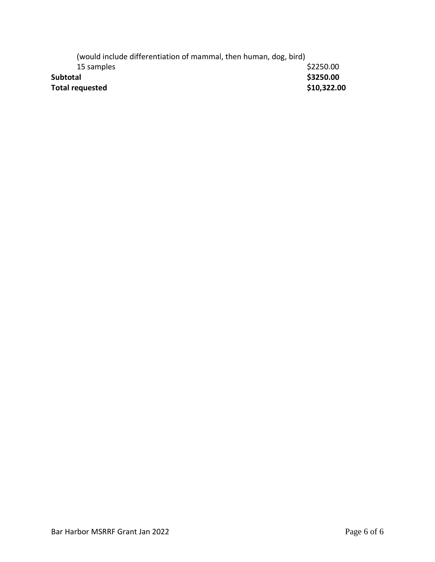| (would include differentiation of mammal, then human, dog, bird) |             |
|------------------------------------------------------------------|-------------|
| 15 samples                                                       | \$2250.00   |
| <b>Subtotal</b>                                                  | \$3250.00   |
| <b>Total requested</b>                                           | \$10,322.00 |
|                                                                  |             |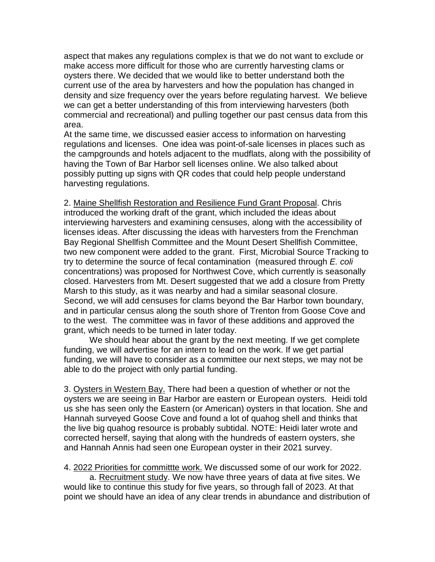aspect that makes any regulations complex is that we do not want to exclude or make access more difficult for those who are currently harvesting clams or oysters there. We decided that we would like to better understand both the current use of the area by harvesters and how the population has changed in density and size frequency over the years before regulating harvest. We believe we can get a better understanding of this from interviewing harvesters (both commercial and recreational) and pulling together our past census data from this area.

At the same time, we discussed easier access to information on harvesting regulations and licenses. One idea was point-of-sale licenses in places such as the campgrounds and hotels adjacent to the mudflats, along with the possibility of having the Town of Bar Harbor sell licenses online. We also talked about possibly putting up signs with QR codes that could help people understand harvesting regulations.

2. Maine Shellfish Restoration and Resilience Fund Grant Proposal. Chris introduced the working draft of the grant, which included the ideas about interviewing harvesters and examining censuses, along with the accessibility of licenses ideas. After discussing the ideas with harvesters from the Frenchman Bay Regional Shellfish Committee and the Mount Desert Shellfish Committee, two new component were added to the grant. First, Microbial Source Tracking to try to determine the source of fecal contamination (measured through *E. coli* concentrations) was proposed for Northwest Cove, which currently is seasonally closed. Harvesters from Mt. Desert suggested that we add a closure from Pretty Marsh to this study, as it was nearby and had a similar seasonal closure. Second, we will add censuses for clams beyond the Bar Harbor town boundary, and in particular census along the south shore of Trenton from Goose Cove and to the west. The committee was in favor of these additions and approved the grant, which needs to be turned in later today.

We should hear about the grant by the next meeting. If we get complete funding, we will advertise for an intern to lead on the work. If we get partial funding, we will have to consider as a committee our next steps, we may not be able to do the project with only partial funding.

3. Oysters in Western Bay. There had been a question of whether or not the oysters we are seeing in Bar Harbor are eastern or European oysters. Heidi told us she has seen only the Eastern (or American) oysters in that location. She and Hannah surveyed Goose Cove and found a lot of quahog shell and thinks that the live big quahog resource is probably subtidal. NOTE: Heidi later wrote and corrected herself, saying that along with the hundreds of eastern oysters, she and Hannah Annis had seen one European oyster in their 2021 survey.

4. 2022 Priorities for committte work. We discussed some of our work for 2022. a. Recruitment study. We now have three years of data at five sites. We would like to continue this study for five years, so through fall of 2023. At that point we should have an idea of any clear trends in abundance and distribution of